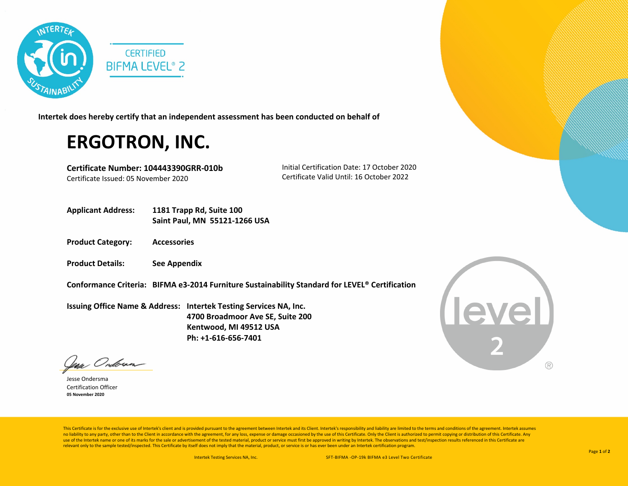

**Intertek does hereby certify that an independent assessment has been conducted on behalf of**

## **ERGOTRON, INC.**

**Certificate Number: 104443390GRR-010b** Certificate Issued: 05 November 2020

 Initial Certification Date: 17 October 2020 Certificate Valid Until: 16 October 2022

- **Applicant Address: 1181 Trapp Rd, Suite 100 Saint Paul, MN 55121-1266 USA**
- **Product Category: Accessories**
- **Product Details: See Appendix**
- **Conformance Criteria: BIFMA e3-2014 Furniture Sustainability Standard for LEVEL® Certification**

**Issuing Office Name & Address: Intertek Testing Services NA, Inc. 4700 Broadmoor Ave SE, Suite 200 Kentwood, MI 49512 USA Ph: +1-616-656-7401**

**Level**  $( R )$ 

lean Ondoran

Jesse Ondersma Certification Officer **05 November 2020**

This Certificate is for the exclusive use of Intertek's client and is provided pursuant to the agreement between Intertek and its Client. Intertek's responsibility and liability are limited to the terms and conditions of t no liability to any party, other than to the Client in accordance with the agreement, for any loss, expense or damage occasioned by the use of this Certificate. Only the Client is authorized to permit copying or distributi use of the Intertek name or one of its marks for the sale or advertisement of the tested material, product or service must first be approved in writing by Intertek. The observations and test/inspection results referenced i relevant only to the sample tested/inspected. This Certificate by itself does not imply that the material, product, or service is or has ever been under an Intertek certification program.